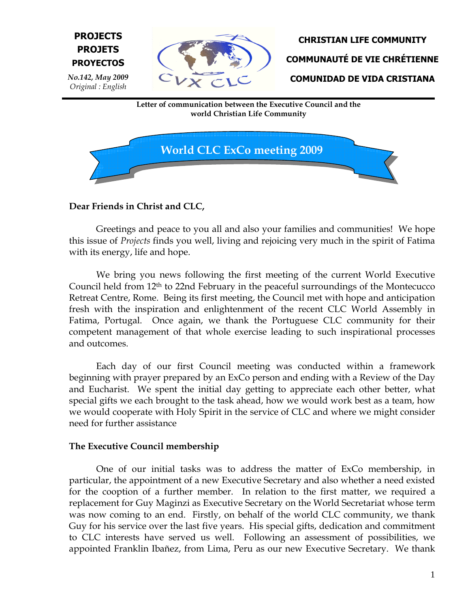



Letter of communication between the Executive Council and the world Christian Life Community



# Dear Friends in Christ and CLC,

Greetings and peace to you all and also your families and communities! We hope this issue of Projects finds you well, living and rejoicing very much in the spirit of Fatima with its energy, life and hope.

We bring you news following the first meeting of the current World Executive Council held from 12th to 22nd February in the peaceful surroundings of the Montecucco Retreat Centre, Rome. Being its first meeting, the Council met with hope and anticipation fresh with the inspiration and enlightenment of the recent CLC World Assembly in Fatima, Portugal. Once again, we thank the Portuguese CLC community for their competent management of that whole exercise leading to such inspirational processes and outcomes.

Each day of our first Council meeting was conducted within a framework beginning with prayer prepared by an ExCo person and ending with a Review of the Day and Eucharist. We spent the initial day getting to appreciate each other better, what special gifts we each brought to the task ahead, how we would work best as a team, how we would cooperate with Holy Spirit in the service of CLC and where we might consider need for further assistance

## The Executive Council membership

One of our initial tasks was to address the matter of ExCo membership, in particular, the appointment of a new Executive Secretary and also whether a need existed for the cooption of a further member. In relation to the first matter, we required a replacement for Guy Maginzi as Executive Secretary on the World Secretariat whose term was now coming to an end. Firstly, on behalf of the world CLC community, we thank Guy for his service over the last five years. His special gifts, dedication and commitment to CLC interests have served us well. Following an assessment of possibilities, we appointed Franklin Ibañez, from Lima, Peru as our new Executive Secretary. We thank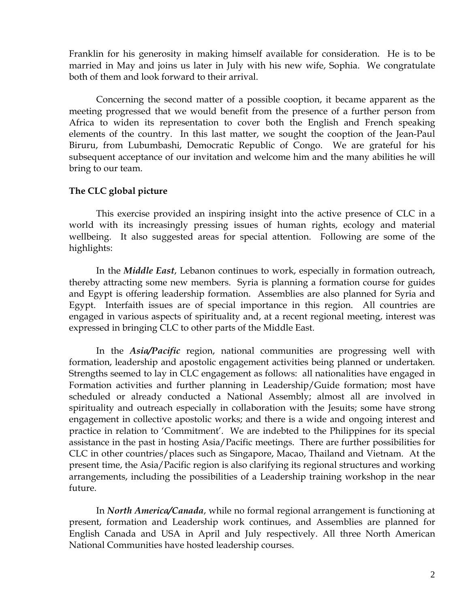Franklin for his generosity in making himself available for consideration. He is to be married in May and joins us later in July with his new wife, Sophia. We congratulate both of them and look forward to their arrival.

Concerning the second matter of a possible cooption, it became apparent as the meeting progressed that we would benefit from the presence of a further person from Africa to widen its representation to cover both the English and French speaking elements of the country. In this last matter, we sought the cooption of the Jean-Paul Biruru, from Lubumbashi, Democratic Republic of Congo. We are grateful for his subsequent acceptance of our invitation and welcome him and the many abilities he will bring to our team.

### The CLC global picture

This exercise provided an inspiring insight into the active presence of CLC in a world with its increasingly pressing issues of human rights, ecology and material wellbeing. It also suggested areas for special attention. Following are some of the highlights:

In the Middle East, Lebanon continues to work, especially in formation outreach, thereby attracting some new members. Syria is planning a formation course for guides and Egypt is offering leadership formation. Assemblies are also planned for Syria and Egypt. Interfaith issues are of special importance in this region. All countries are engaged in various aspects of spirituality and, at a recent regional meeting, interest was expressed in bringing CLC to other parts of the Middle East.

In the *Asia/Pacific* region, national communities are progressing well with formation, leadership and apostolic engagement activities being planned or undertaken. Strengths seemed to lay in CLC engagement as follows: all nationalities have engaged in Formation activities and further planning in Leadership/Guide formation; most have scheduled or already conducted a National Assembly; almost all are involved in spirituality and outreach especially in collaboration with the Jesuits; some have strong engagement in collective apostolic works; and there is a wide and ongoing interest and practice in relation to 'Commitment'. We are indebted to the Philippines for its special assistance in the past in hosting Asia/Pacific meetings. There are further possibilities for CLC in other countries/places such as Singapore, Macao, Thailand and Vietnam. At the present time, the Asia/Pacific region is also clarifying its regional structures and working arrangements, including the possibilities of a Leadership training workshop in the near future.

In North America/Canada, while no formal regional arrangement is functioning at present, formation and Leadership work continues, and Assemblies are planned for English Canada and USA in April and July respectively. All three North American National Communities have hosted leadership courses.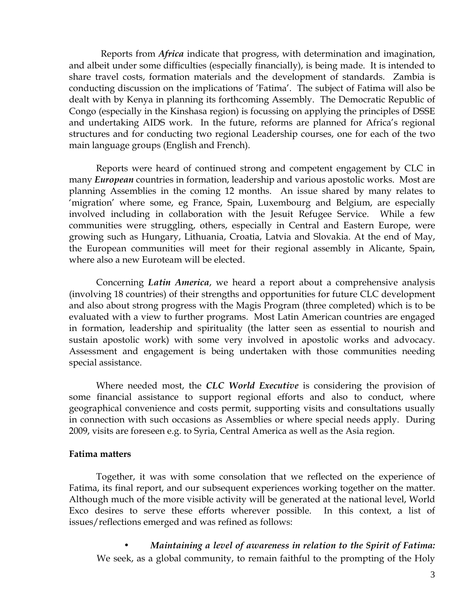Reports from Africa indicate that progress, with determination and imagination, and albeit under some difficulties (especially financially), is being made. It is intended to share travel costs, formation materials and the development of standards. Zambia is conducting discussion on the implications of 'Fatima'. The subject of Fatima will also be dealt with by Kenya in planning its forthcoming Assembly. The Democratic Republic of Congo (especially in the Kinshasa region) is focussing on applying the principles of DSSE and undertaking AIDS work. In the future, reforms are planned for Africa's regional structures and for conducting two regional Leadership courses, one for each of the two main language groups (English and French).

Reports were heard of continued strong and competent engagement by CLC in many *European* countries in formation, leadership and various apostolic works. Most are planning Assemblies in the coming 12 months. An issue shared by many relates to 'migration' where some, eg France, Spain, Luxembourg and Belgium, are especially involved including in collaboration with the Jesuit Refugee Service. While a few communities were struggling, others, especially in Central and Eastern Europe, were growing such as Hungary, Lithuania, Croatia, Latvia and Slovakia. At the end of May, the European communities will meet for their regional assembly in Alicante, Spain, where also a new Euroteam will be elected.

Concerning Latin America, we heard a report about a comprehensive analysis (involving 18 countries) of their strengths and opportunities for future CLC development and also about strong progress with the Magis Program (three completed) which is to be evaluated with a view to further programs. Most Latin American countries are engaged in formation, leadership and spirituality (the latter seen as essential to nourish and sustain apostolic work) with some very involved in apostolic works and advocacy. Assessment and engagement is being undertaken with those communities needing special assistance.

Where needed most, the CLC World Executive is considering the provision of some financial assistance to support regional efforts and also to conduct, where geographical convenience and costs permit, supporting visits and consultations usually in connection with such occasions as Assemblies or where special needs apply. During 2009, visits are foreseen e.g. to Syria, Central America as well as the Asia region.

#### Fatima matters

Together, it was with some consolation that we reflected on the experience of Fatima, its final report, and our subsequent experiences working together on the matter. Although much of the more visible activity will be generated at the national level, World Exco desires to serve these efforts wherever possible. In this context, a list of issues/reflections emerged and was refined as follows:

• Maintaining a level of awareness in relation to the Spirit of Fatima: We seek, as a global community, to remain faithful to the prompting of the Holy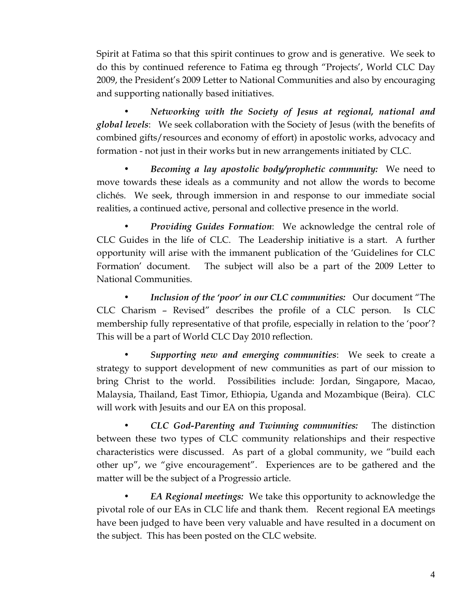Spirit at Fatima so that this spirit continues to grow and is generative. We seek to do this by continued reference to Fatima eg through "Projects', World CLC Day 2009, the President's 2009 Letter to National Communities and also by encouraging and supporting nationally based initiatives.

• Networking with the Society of Jesus at regional, national and global levels: We seek collaboration with the Society of Jesus (with the benefits of combined gifts/resources and economy of effort) in apostolic works, advocacy and formation - not just in their works but in new arrangements initiated by CLC.

Becoming a lay apostolic body/prophetic community: We need to move towards these ideals as a community and not allow the words to become clichés. We seek, through immersion in and response to our immediate social realities, a continued active, personal and collective presence in the world.

Providing Guides Formation: We acknowledge the central role of CLC Guides in the life of CLC. The Leadership initiative is a start. A further opportunity will arise with the immanent publication of the 'Guidelines for CLC Formation' document. The subject will also be a part of the 2009 Letter to National Communities.

Inclusion of the 'poor' in our CLC communities: Our document "The CLC Charism – Revised" describes the profile of a CLC person. Is CLC membership fully representative of that profile, especially in relation to the 'poor'? This will be a part of World CLC Day 2010 reflection.

Supporting new and emerging communities: We seek to create a strategy to support development of new communities as part of our mission to bring Christ to the world. Possibilities include: Jordan, Singapore, Macao, Malaysia, Thailand, East Timor, Ethiopia, Uganda and Mozambique (Beira). CLC will work with Jesuits and our EA on this proposal.

• CLC God-Parenting and Twinning communities: The distinction between these two types of CLC community relationships and their respective characteristics were discussed. As part of a global community, we "build each other up", we "give encouragement". Experiences are to be gathered and the matter will be the subject of a Progressio article.

**EA Regional meetings:** We take this opportunity to acknowledge the pivotal role of our EAs in CLC life and thank them. Recent regional EA meetings have been judged to have been very valuable and have resulted in a document on the subject. This has been posted on the CLC website.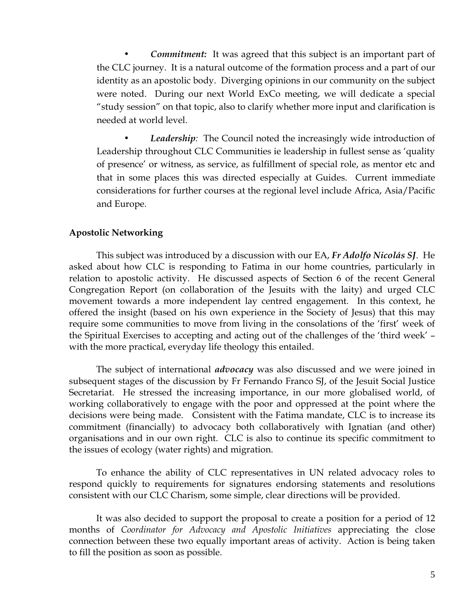**Commitment:** It was agreed that this subject is an important part of the CLC journey. It is a natural outcome of the formation process and a part of our identity as an apostolic body. Diverging opinions in our community on the subject were noted. During our next World ExCo meeting, we will dedicate a special "study session" on that topic, also to clarify whether more input and clarification is needed at world level.

Leadership: The Council noted the increasingly wide introduction of Leadership throughout CLC Communities ie leadership in fullest sense as 'quality of presence' or witness, as service, as fulfillment of special role, as mentor etc and that in some places this was directed especially at Guides. Current immediate considerations for further courses at the regional level include Africa, Asia/Pacific and Europe.

#### Apostolic Networking

This subject was introduced by a discussion with our EA, Fr Adolfo Nicolás SJ. He asked about how CLC is responding to Fatima in our home countries, particularly in relation to apostolic activity. He discussed aspects of Section 6 of the recent General Congregation Report (on collaboration of the Jesuits with the laity) and urged CLC movement towards a more independent lay centred engagement. In this context, he offered the insight (based on his own experience in the Society of Jesus) that this may require some communities to move from living in the consolations of the 'first' week of the Spiritual Exercises to accepting and acting out of the challenges of the 'third week' – with the more practical, everyday life theology this entailed.

The subject of international *advocacy* was also discussed and we were joined in subsequent stages of the discussion by Fr Fernando Franco SJ, of the Jesuit Social Justice Secretariat. He stressed the increasing importance, in our more globalised world, of working collaboratively to engage with the poor and oppressed at the point where the decisions were being made. Consistent with the Fatima mandate, CLC is to increase its commitment (financially) to advocacy both collaboratively with Ignatian (and other) organisations and in our own right. CLC is also to continue its specific commitment to the issues of ecology (water rights) and migration.

To enhance the ability of CLC representatives in UN related advocacy roles to respond quickly to requirements for signatures endorsing statements and resolutions consistent with our CLC Charism, some simple, clear directions will be provided.

It was also decided to support the proposal to create a position for a period of 12 months of Coordinator for Advocacy and Apostolic Initiatives appreciating the close connection between these two equally important areas of activity. Action is being taken to fill the position as soon as possible.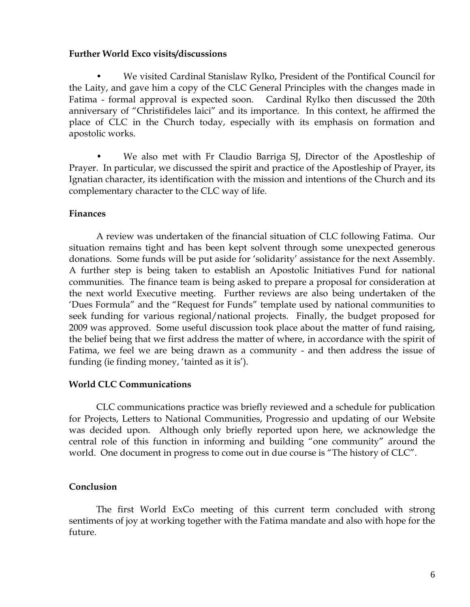#### Further World Exco visits/discussions

• We visited Cardinal Stanislaw Rylko, President of the Pontifical Council for the Laity, and gave him a copy of the CLC General Principles with the changes made in Fatima - formal approval is expected soon. Cardinal Rylko then discussed the 20th anniversary of "Christifideles laici" and its importance. In this context, he affirmed the place of CLC in the Church today, especially with its emphasis on formation and apostolic works.

• We also met with Fr Claudio Barriga SJ, Director of the Apostleship of Prayer. In particular, we discussed the spirit and practice of the Apostleship of Prayer, its Ignatian character, its identification with the mission and intentions of the Church and its complementary character to the CLC way of life.

#### Finances

A review was undertaken of the financial situation of CLC following Fatima. Our situation remains tight and has been kept solvent through some unexpected generous donations. Some funds will be put aside for 'solidarity' assistance for the next Assembly. A further step is being taken to establish an Apostolic Initiatives Fund for national communities. The finance team is being asked to prepare a proposal for consideration at the next world Executive meeting. Further reviews are also being undertaken of the 'Dues Formula" and the "Request for Funds" template used by national communities to seek funding for various regional/national projects. Finally, the budget proposed for 2009 was approved. Some useful discussion took place about the matter of fund raising, the belief being that we first address the matter of where, in accordance with the spirit of Fatima, we feel we are being drawn as a community - and then address the issue of funding (ie finding money, 'tainted as it is').

#### World CLC Communications

CLC communications practice was briefly reviewed and a schedule for publication for Projects, Letters to National Communities, Progressio and updating of our Website was decided upon. Although only briefly reported upon here, we acknowledge the central role of this function in informing and building "one community" around the world. One document in progress to come out in due course is "The history of CLC".

## Conclusion

The first World ExCo meeting of this current term concluded with strong sentiments of joy at working together with the Fatima mandate and also with hope for the future.